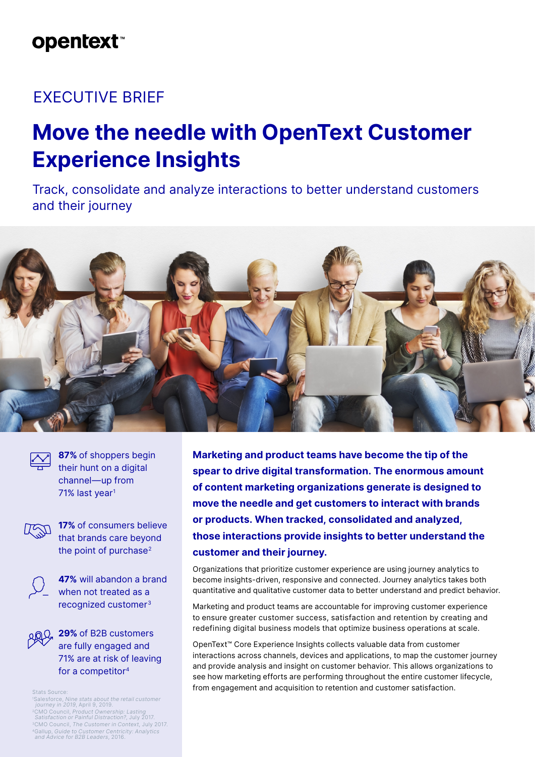# **opentext**™

## EXECUTIVE BRIEF

# **Move the needle with OpenText Customer Experience Insights**

Track, consolidate and analyze interactions to better understand customers and their journey



**87%** of shoppers begin their hunt on a digital channel—up from 71% last year<sup>1</sup>



**17%** of consumers believe that brands care beyond the point of purchase<sup>2</sup>



**47%** will abandon a brand when not treated as a recognized customer3

**29%** of B2B customers are fully engaged and 71% are at risk of leaving for a competitor4

1 Salesforce, [Nine stats about the retail customer](https://www.salesforce.com/blog/2019/04/customer-retail-statistics.html)   [journey in 2019](https://www.salesforce.com/blog/2019/04/customer-retail-statistics.html), April 9, 2019.

2CMO Council, [Product Ownership: Lasting](https://www.cmocouncil.org/thought-leadership/reports/product-ownership)   [Satisfaction or Painful Distraction?](https://www.cmocouncil.org/thought-leadership/reports/product-ownership), July 2017.

3CMO Council, [The Customer in Context](https://www.cmocouncil.org/thought-leadership/reports/the-customer-in-context), July 2017. 4Gallup, [Guide to Customer Centricity: Analytics](https://news.gallup.com/reports/187877/b2b-report-2016.aspx)   [and Advice for B2B Leaders](https://news.gallup.com/reports/187877/b2b-report-2016.aspx), 2016.

**Marketing and product teams have become the tip of the spear to drive digital transformation. The enormous amount of content marketing organizations generate is designed to move the needle and get customers to interact with brands or products. When tracked, consolidated and analyzed, those interactions provide insights to better understand the customer and their journey.**

Organizations that prioritize customer experience are using journey analytics to become insights-driven, responsive and connected. Journey analytics takes both quantitative and qualitative customer data to better understand and predict behavior.

Marketing and product teams are accountable for improving customer experience to ensure greater customer success, satisfaction and retention by creating and redefining digital business models that optimize business operations at scale.

OpenText™ Core Experience Insights collects valuable data from customer interactions across channels, devices and applications, to map the customer journey and provide analysis and insight on customer behavior. This allows organizations to see how marketing efforts are performing throughout the entire customer lifecycle, from engagement and acquisition to retention and customer satisfaction. Stats Source: